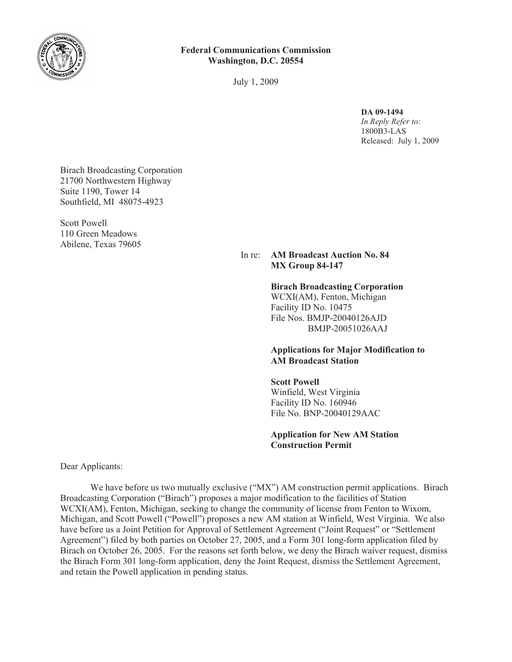

# **Federal Communications Commission Washington, D.C. 20554**

July 1, 2009

**DA 09-1494**

*In Reply Refer to:* 1800B3-LAS Released: July 1, 2009

Birach Broadcasting Corporation 21700 Northwestern Highway Suite 1190, Tower 14 Southfield, MI 48075-4923

Scott Powell 110 Green Meadows Abilene, Texas 79605

### In re: **AM Broadcast Auction No. 84 MX Group 84-147**

### **Birach Broadcasting Corporation**

WCXI(AM), Fenton, Michigan Facility ID No. 10475 File Nos. BMJP-20040126AJD BMJP-20051026AAJ

### **Applications for Major Modification to AM Broadcast Station**

**Scott Powell** Winfield, West Virginia Facility ID No. 160946 File No. BNP-20040129AAC

## **Application for New AM Station Construction Permit**

Dear Applicants:

We have before us two mutually exclusive ("MX") AM construction permit applications. Birach Broadcasting Corporation ("Birach") proposes a major modification to the facilities of Station WCXI(AM), Fenton, Michigan, seeking to change the community of license from Fenton to Wixom, Michigan, and Scott Powell ("Powell") proposes a new AM station at Winfield, West Virginia. We also have before us a Joint Petition for Approval of Settlement Agreement ("Joint Request" or "Settlement Agreement") filed by both parties on October 27, 2005, and a Form 301 long-form application filed by Birach on October 26, 2005. For the reasons set forth below, we deny the Birach waiver request, dismiss the Birach Form 301 long-form application, deny the Joint Request, dismiss the Settlement Agreement, and retain the Powell application in pending status.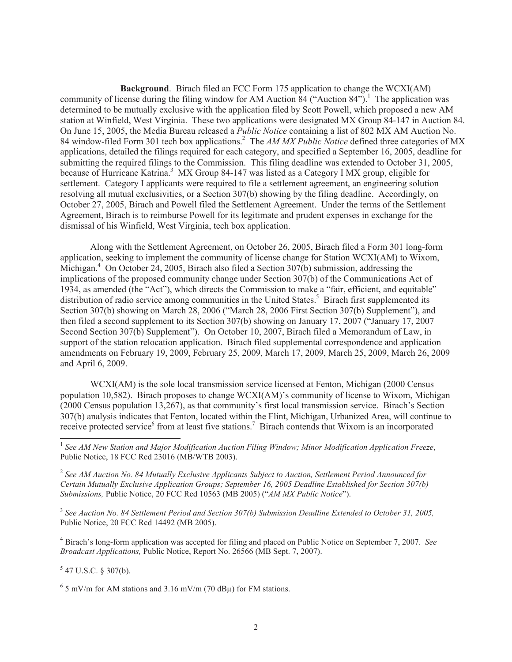**Background**. Birach filed an FCC Form 175 application to change the WCXI(AM) community of license during the filing window for AM Auction 84 ("Auction 84").<sup>1</sup> The application was determined to be mutually exclusive with the application filed by Scott Powell, which proposed a new AM station at Winfield, West Virginia. These two applications were designated MX Group 84-147 in Auction 84. On June 15, 2005, the Media Bureau released a *Public Notice* containing a list of 802 MX AM Auction No. 84 window-filed Form 301 tech box applications.<sup>2</sup> The *AM MX Public Notice* defined three categories of MX applications, detailed the filings required for each category, and specified a September 16, 2005, deadline for submitting the required filings to the Commission. This filing deadline was extended to October 31, 2005, because of Hurricane Katrina.<sup>3</sup> MX Group 84-147 was listed as a Category I MX group, eligible for settlement. Category I applicants were required to file a settlement agreement, an engineering solution resolving all mutual exclusivities, or a Section 307(b) showing by the filing deadline. Accordingly, on October 27, 2005, Birach and Powell filed the Settlement Agreement. Under the terms of the Settlement Agreement, Birach is to reimburse Powell for its legitimate and prudent expenses in exchange for the dismissal of his Winfield, West Virginia, tech box application.

Along with the Settlement Agreement, on October 26, 2005, Birach filed a Form 301 long-form application, seeking to implement the community of license change for Station WCXI(AM) to Wixom, Michigan.<sup>4</sup> On October 24, 2005, Birach also filed a Section 307(b) submission, addressing the implications of the proposed community change under Section 307(b) of the Communications Act of 1934, as amended (the "Act"), which directs the Commission to make a "fair, efficient, and equitable" distribution of radio service among communities in the United States.<sup>5</sup> Birach first supplemented its Section 307(b) showing on March 28, 2006 ("March 28, 2006 First Section 307(b) Supplement"), and then filed a second supplement to its Section 307(b) showing on January 17, 2007 ("January 17, 2007 Second Section 307(b) Supplement"). On October 10, 2007, Birach filed a Memorandum of Law, in support of the station relocation application. Birach filed supplemental correspondence and application amendments on February 19, 2009, February 25, 2009, March 17, 2009, March 25, 2009, March 26, 2009 and April 6, 2009.

WCXI(AM) is the sole local transmission service licensed at Fenton, Michigan (2000 Census population 10,582). Birach proposes to change WCXI(AM)'s community of license to Wixom, Michigan (2000 Census population 13,267), as that community's first local transmission service. Birach's Section 307(b) analysis indicates that Fenton, located within the Flint, Michigan, Urbanized Area, will continue to receive protected service<sup>6</sup> from at least five stations.<sup>7</sup> Birach contends that Wixom is an incorporated

<sup>1</sup> See AM New Station and Major Modification Auction Filing Window; Minor Modification Application Freeze, Public Notice, 18 FCC Rcd 23016 (MB/WTB 2003).

2 *See AM Auction No. 84 Mutually Exclusive Applicants Subject to Auction, Settlement Period Announced for Certain Mutually Exclusive Application Groups; September 16, 2005 Deadline Established for Section 307(b) Submissions,* Public Notice, 20 FCC Rcd 10563 (MB 2005) ("*AM MX Public Notice*").

<sup>3</sup> See Auction No. 84 Settlement Period and Section 307(b) Submission Deadline Extended to October 31, 2005, Public Notice, 20 FCC Rcd 14492 (MB 2005).

<sup>4</sup> Birach's long-form application was accepted for filing and placed on Public Notice on September 7, 2007. *See Broadcast Applications,* Public Notice, Report No. 26566 (MB Sept. 7, 2007).

 $5$  47 U.S.C. § 307(b).

 $65$  mV/m for AM stations and 3.16 mV/m (70 dB $\mu$ ) for FM stations.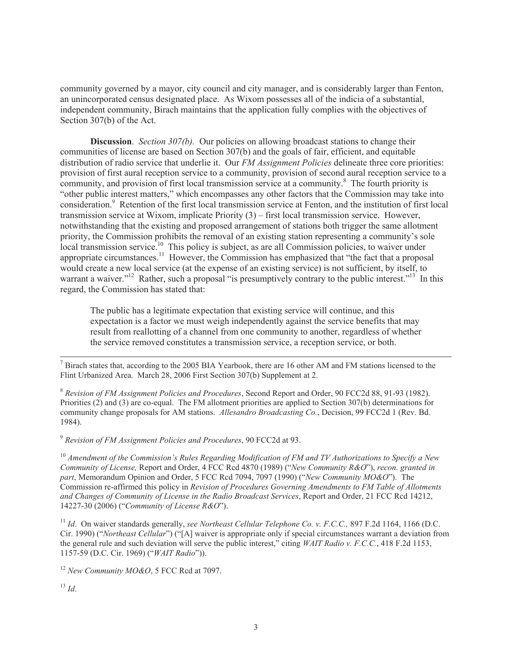community governed by a mayor, city council and city manager, and is considerably larger than Fenton, an unincorporated census designated place. As Wixom possesses all of the indicia of a substantial, independent community, Birach maintains that the application fully complies with the objectives of Section 307(b) of the Act.

**Discussion**. *Section 307(b).* Our policies on allowing broadcast stations to change their communities of license are based on Section 307(b) and the goals of fair, efficient, and equitable distribution of radio service that underlie it. Our *FM Assignment Policies* delineate three core priorities: provision of first aural reception service to a community, provision of second aural reception service to a community, and provision of first local transmission service at a community.<sup>8</sup> The fourth priority is "other public interest matters," which encompasses any other factors that the Commission may take into consideration.<sup>9</sup> Retention of the first local transmission service at Fenton, and the institution of first local transmission service at Wixom, implicate Priority (3) – first local transmission service. However, notwithstanding that the existing and proposed arrangement of stations both trigger the same allotment priority, the Commission prohibits the removal of an existing station representing a community's sole local transmission service.<sup>10</sup> This policy is subject, as are all Commission policies, to waiver under appropriate circumstances.<sup>11</sup> However, the Commission has emphasized that "the fact that a proposal would create a new local service (at the expense of an existing service) is not sufficient, by itself, to warrant a waiver."<sup>12</sup> Rather, such a proposal "is presumptively contrary to the public interest."<sup>13</sup> In this regard, the Commission has stated that:

The public has a legitimate expectation that existing service will continue, and this expectation is a factor we must weigh independently against the service benefits that may result from reallotting of a channel from one community to another, regardless of whether the service removed constitutes a transmission service, a reception service, or both.

 $<sup>7</sup>$  Birach states that, according to the 2005 BIA Yearbook, there are 16 other AM and FM stations licensed to the</sup> Flint Urbanized Area. March 28, 2006 First Section 307(b) Supplement at 2.

<sup>8</sup> *Revision of FM Assignment Policies and Procedures*, Second Report and Order, 90 FCC2d 88, 91-93 (1982). Priorities (2) and (3) are co-equal. The FM allotment priorities are applied to Section 307(b) determinations for community change proposals for AM stations. *Allesandro Broadcasting Co.*, Decision, 99 FCC2d 1 (Rev. Bd. 1984).

<sup>9</sup> *Revision of FM Assignment Policies and Procedures*, 90 FCC2d at 93.

<sup>10</sup> *Amendment of the Commission's Rules Regarding Modification of FM and TV Authorizations to Specify a New Community of License,* Report and Order, 4 FCC Rcd 4870 (1989) ("*New Community R&O*"), *recon. granted in part*, Memorandum Opinion and Order, 5 FCC Rcd 7094, 7097 (1990) ("*New Community MO&O*"). The Commission re-affirmed this policy in *Revision of Procedures Governing Amendments to FM Table of Allotments and Changes of Community of License in the Radio Broadcast Services*, Report and Order, 21 FCC Rcd 14212, 14227-30 (2006) ("*Community of License R&O*").

<sup>11</sup> *Id*. On waiver standards generally, *see Northeast Cellular Telephone Co. v. F.C.C.,* 897 F.2d 1164, 1166 (D.C. Cir. 1990) ("*Northeast Cellular*") ("[A] waiver is appropriate only if special circumstances warrant a deviation from the general rule and such deviation will serve the public interest," citing *WAIT Radio v. F.C.C.*, 418 F.2d 1153, 1157-59 (D.C. Cir. 1969) ("*WAIT Radio*")).

<sup>12</sup> *New Community MO&O*, 5 FCC Rcd at 7097.

<sup>13</sup> *Id*.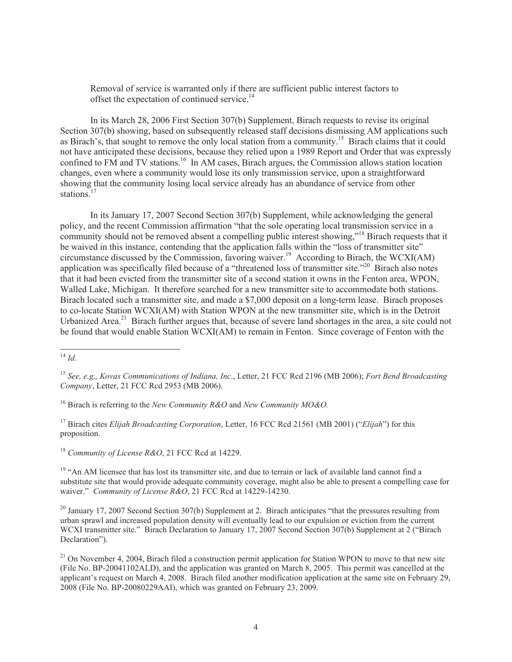Removal of service is warranted only if there are sufficient public interest factors to offset the expectation of continued service.<sup>14</sup>

In its March 28, 2006 First Section 307(b) Supplement, Birach requests to revise its original Section 307(b) showing, based on subsequently released staff decisions dismissing AM applications such as Birach's, that sought to remove the only local station from a community.<sup>15</sup> Birach claims that it could not have anticipated these decisions, because they relied upon a 1989 Report and Order that was expressly confined to FM and TV stations.<sup>16</sup> In AM cases, Birach argues, the Commission allows station location changes, even where a community would lose its only transmission service, upon a straightforward showing that the community losing local service already has an abundance of service from other stations.<sup>17</sup>

In its January 17, 2007 Second Section 307(b) Supplement, while acknowledging the general policy, and the recent Commission affirmation "that the sole operating local transmission service in a community should not be removed absent a compelling public interest showing,"<sup>18</sup> Birach requests that it be waived in this instance, contending that the application falls within the "loss of transmitter site" circumstance discussed by the Commission, favoring waiver.<sup>19</sup> According to Birach, the WCXI(AM) application was specifically filed because of a "threatened loss of transmitter site."<sup>20</sup> Birach also notes that it had been evicted from the transmitter site of a second station it owns in the Fenton area, WPON, Walled Lake, Michigan. It therefore searched for a new transmitter site to accommodate both stations. Birach located such a transmitter site, and made a \$7,000 deposit on a long-term lease. Birach proposes to co-locate Station WCXI(AM) with Station WPON at the new transmitter site, which is in the Detroit Urbanized Area.<sup>21</sup> Birach further argues that, because of severe land shortages in the area, a site could not be found that would enable Station WCXI(AM) to remain in Fenton. Since coverage of Fenton with the

<sup>18</sup> *Community of License R&O*, 21 FCC Rcd at 14229.

<sup>19</sup> "An AM licensee that has lost its transmitter site, and due to terrain or lack of available land cannot find a substitute site that would provide adequate community coverage, might also be able to present a compelling case for waiver." *Community of License R&O*, 21 FCC Rcd at 14229-14230.

<sup>20</sup> January 17, 2007 Second Section 307(b) Supplement at 2. Birach anticipates "that the pressures resulting from urban sprawl and increased population density will eventually lead to our expulsion or eviction from the current WCXI transmitter site." Birach Declaration to January 17, 2007 Second Section 307(b) Supplement at 2 ("Birach Declaration").

<sup>14</sup> *Id*.

<sup>15</sup> *See, e.g., Kovas Communications of Indiana, Inc*., Letter, 21 FCC Rcd 2196 (MB 2006); *Fort Bend Broadcasting Company*, Letter, 21 FCC Rcd 2953 (MB 2006).

<sup>16</sup> Birach is referring to the *New Community R&O* and *New Community MO&O.*

<sup>17</sup> Birach cites *Elijah Broadcasting Corporation*, Letter, 16 FCC Rcd 21561 (MB 2001) ("*Elijah*") for this proposition.

 $21$  On November 4, 2004, Birach filed a construction permit application for Station WPON to move to that new site (File No. BP-20041102ALD), and the application was granted on March 8, 2005. This permit was cancelled at the applicant's request on March 4, 2008. Birach filed another modification application at the same site on February 29, 2008 (File No. BP-20080229AAI), which was granted on February 23, 2009.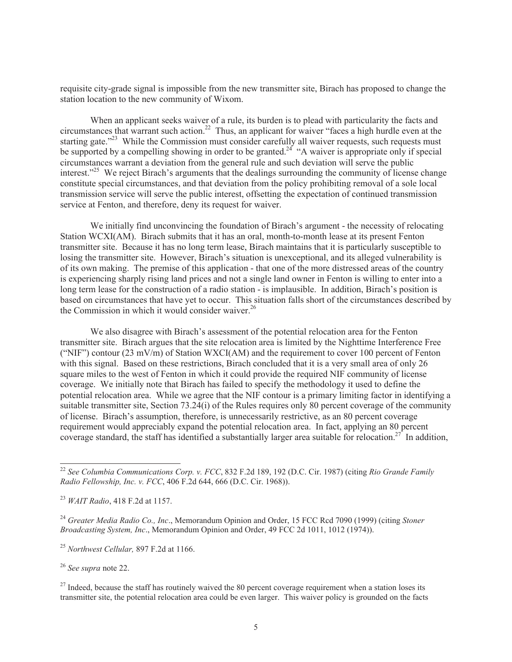requisite city-grade signal is impossible from the new transmitter site, Birach has proposed to change the station location to the new community of Wixom.

When an applicant seeks waiver of a rule, its burden is to plead with particularity the facts and circumstances that warrant such action.<sup>22</sup> Thus, an applicant for waiver "faces a high hurdle even at the starting gate."<sup>23</sup> While the Commission must consider carefully all waiver requests, such requests must be supported by a compelling showing in order to be granted.<sup>24</sup> "A waiver is appropriate only if special circumstances warrant a deviation from the general rule and such deviation will serve the public interest."<sup>25</sup> We reject Birach's arguments that the dealings surrounding the community of license change constitute special circumstances, and that deviation from the policy prohibiting removal of a sole local transmission service will serve the public interest, offsetting the expectation of continued transmission service at Fenton, and therefore, deny its request for waiver.

We initially find unconvincing the foundation of Birach's argument - the necessity of relocating Station WCXI(AM). Birach submits that it has an oral, month-to-month lease at its present Fenton transmitter site. Because it has no long term lease, Birach maintains that it is particularly susceptible to losing the transmitter site. However, Birach's situation is unexceptional, and its alleged vulnerability is of its own making. The premise of this application - that one of the more distressed areas of the country is experiencing sharply rising land prices and not a single land owner in Fenton is willing to enter into a long term lease for the construction of a radio station - is implausible. In addition, Birach's position is based on circumstances that have yet to occur. This situation falls short of the circumstances described by the Commission in which it would consider waiver.<sup>26</sup>

We also disagree with Birach's assessment of the potential relocation area for the Fenton transmitter site. Birach argues that the site relocation area is limited by the Nighttime Interference Free ("NIF") contour (23 mV/m) of Station WXCI(AM) and the requirement to cover 100 percent of Fenton with this signal. Based on these restrictions, Birach concluded that it is a very small area of only 26 square miles to the west of Fenton in which it could provide the required NIF community of license coverage. We initially note that Birach has failed to specify the methodology it used to define the potential relocation area. While we agree that the NIF contour is a primary limiting factor in identifying a suitable transmitter site, Section 73.24(i) of the Rules requires only 80 percent coverage of the community of license. Birach's assumption, therefore, is unnecessarily restrictive, as an 80 percent coverage requirement would appreciably expand the potential relocation area. In fact, applying an 80 percent coverage standard, the staff has identified a substantially larger area suitable for relocation.<sup>27</sup> In addition,

<sup>25</sup> *Northwest Cellular,* 897 F.2d at 1166.

<sup>26</sup> *See supra* note 22.

 $27$  Indeed, because the staff has routinely waived the 80 percent coverage requirement when a station loses its transmitter site, the potential relocation area could be even larger. This waiver policy is grounded on the facts

<sup>22</sup> *See Columbia Communications Corp. v. FCC*, 832 F.2d 189, 192 (D.C. Cir. 1987) (citing *Rio Grande Family Radio Fellowship, Inc. v. FCC*, 406 F.2d 644, 666 (D.C. Cir. 1968)).

<sup>23</sup> *WAIT Radio*, 418 F.2d at 1157.

<sup>24</sup> *Greater Media Radio Co., Inc*., Memorandum Opinion and Order, 15 FCC Rcd 7090 (1999) (citing *Stoner Broadcasting System, Inc*., Memorandum Opinion and Order, 49 FCC 2d 1011, 1012 (1974)).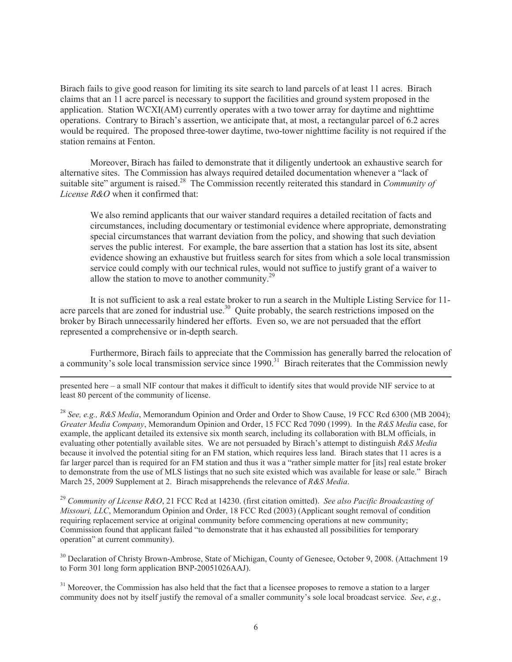Birach fails to give good reason for limiting its site search to land parcels of at least 11 acres. Birach claims that an 11 acre parcel is necessary to support the facilities and ground system proposed in the application. Station WCXI(AM) currently operates with a two tower array for daytime and nighttime operations. Contrary to Birach's assertion, we anticipate that, at most, a rectangular parcel of 6.2 acres would be required. The proposed three-tower daytime, two-tower nighttime facility is not required if the station remains at Fenton.

Moreover, Birach has failed to demonstrate that it diligently undertook an exhaustive search for alternative sites. The Commission has always required detailed documentation whenever a "lack of suitable site" argument is raised.<sup>28</sup> The Commission recently reiterated this standard in *Community of License R&O* when it confirmed that:

We also remind applicants that our waiver standard requires a detailed recitation of facts and circumstances, including documentary or testimonial evidence where appropriate, demonstrating special circumstances that warrant deviation from the policy, and showing that such deviation serves the public interest. For example, the bare assertion that a station has lost its site, absent evidence showing an exhaustive but fruitless search for sites from which a sole local transmission service could comply with our technical rules, would not suffice to justify grant of a waiver to allow the station to move to another community. $2<sup>9</sup>$ 

It is not sufficient to ask a real estate broker to run a search in the Multiple Listing Service for 11 acre parcels that are zoned for industrial use.<sup>30</sup> Quite probably, the search restrictions imposed on the broker by Birach unnecessarily hindered her efforts. Even so, we are not persuaded that the effort represented a comprehensive or in-depth search.

Furthermore, Birach fails to appreciate that the Commission has generally barred the relocation of a community's sole local transmission service since 1990.<sup>31</sup> Birach reiterates that the Commission newly

presented here – a small NIF contour that makes it difficult to identify sites that would provide NIF service to at least 80 percent of the community of license.

<sup>28</sup> *See, e.g., R&S Media*, Memorandum Opinion and Order and Order to Show Cause, 19 FCC Rcd 6300 (MB 2004); *Greater Media Company*, Memorandum Opinion and Order, 15 FCC Rcd 7090 (1999). In the *R&S Media* case, for example, the applicant detailed its extensive six month search, including its collaboration with BLM officials, in evaluating other potentially available sites. We are not persuaded by Birach's attempt to distinguish *R&S Media* because it involved the potential siting for an FM station, which requires less land. Birach states that 11 acres is a far larger parcel than is required for an FM station and thus it was a "rather simple matter for [its] real estate broker to demonstrate from the use of MLS listings that no such site existed which was available for lease or sale." Birach March 25, 2009 Supplement at 2. Birach misapprehends the relevance of *R&S Media*.

<sup>29</sup> *Community of License R&O*, 21 FCC Rcd at 14230. (first citation omitted). *See also Pacific Broadcasting of Missouri, LLC*, Memorandum Opinion and Order, 18 FCC Rcd (2003) (Applicant sought removal of condition requiring replacement service at original community before commencing operations at new community; Commission found that applicant failed "to demonstrate that it has exhausted all possibilities for temporary operation" at current community).

<sup>30</sup> Declaration of Christy Brown-Ambrose, State of Michigan, County of Genesee, October 9, 2008. (Attachment 19 to Form 301 long form application BNP-20051026AAJ).

<sup>31</sup> Moreover, the Commission has also held that the fact that a licensee proposes to remove a station to a larger community does not by itself justify the removal of a smaller community's sole local broadcast service. *See*, *e.g.*,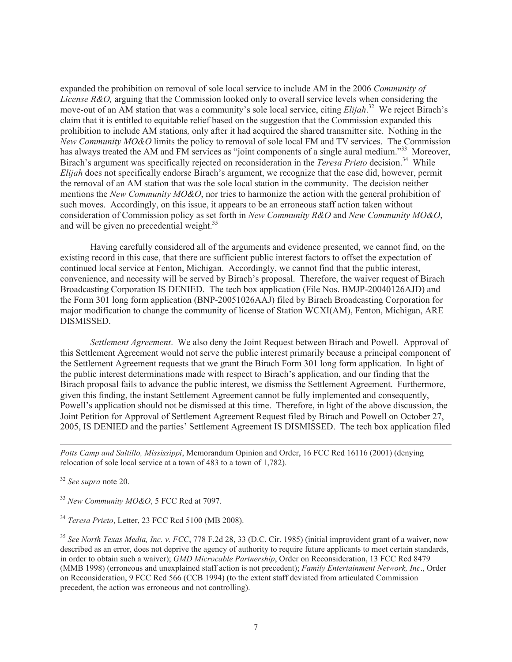expanded the prohibition on removal of sole local service to include AM in the 2006 *Community of License R&O,* arguing that the Commission looked only to overall service levels when considering the move-out of an AM station that was a community's sole local service, citing *Elijah*. <sup>32</sup> We reject Birach's claim that it is entitled to equitable relief based on the suggestion that the Commission expanded this prohibition to include AM stations*,* only after it had acquired the shared transmitter site. Nothing in the *New Community MO&O* limits the policy to removal of sole local FM and TV services. The Commission has always treated the AM and FM services as "joint components of a single aural medium."<sup>33</sup> Moreover, Birach's argument was specifically rejected on reconsideration in the *Teresa Prieto* decision.<sup>34</sup> While *Elijah* does not specifically endorse Birach's argument, we recognize that the case did, however, permit the removal of an AM station that was the sole local station in the community. The decision neither mentions the *New Community MO&O*, nor tries to harmonize the action with the general prohibition of such moves. Accordingly, on this issue, it appears to be an erroneous staff action taken without consideration of Commission policy as set forth in *New Community R&O* and *New Community MO&O*, and will be given no precedential weight.<sup>35</sup>

Having carefully considered all of the arguments and evidence presented, we cannot find, on the existing record in this case, that there are sufficient public interest factors to offset the expectation of continued local service at Fenton, Michigan. Accordingly, we cannot find that the public interest, convenience, and necessity will be served by Birach's proposal. Therefore, the waiver request of Birach Broadcasting Corporation IS DENIED. The tech box application (File Nos. BMJP-20040126AJD) and the Form 301 long form application (BNP-20051026AAJ) filed by Birach Broadcasting Corporation for major modification to change the community of license of Station WCXI(AM), Fenton, Michigan, ARE DISMISSED.

*Settlement Agreement*. We also deny the Joint Request between Birach and Powell. Approval of this Settlement Agreement would not serve the public interest primarily because a principal component of the Settlement Agreement requests that we grant the Birach Form 301 long form application. In light of the public interest determinations made with respect to Birach's application, and our finding that the Birach proposal fails to advance the public interest, we dismiss the Settlement Agreement. Furthermore, given this finding, the instant Settlement Agreement cannot be fully implemented and consequently, Powell's application should not be dismissed at this time. Therefore, in light of the above discussion, the Joint Petition for Approval of Settlement Agreement Request filed by Birach and Powell on October 27, 2005, IS DENIED and the parties' Settlement Agreement IS DISMISSED. The tech box application filed

*Potts Camp and Saltillo, Mississippi*, Memorandum Opinion and Order, 16 FCC Rcd 16116 (2001) (denying relocation of sole local service at a town of 483 to a town of 1,782).

<sup>32</sup> *See supra* note 20.

<sup>33</sup> *New Community MO&O*, 5 FCC Rcd at 7097.

<sup>34</sup> *Teresa Prieto*, Letter, 23 FCC Rcd 5100 (MB 2008).

<sup>35</sup> *See North Texas Media, Inc. v. FCC*, 778 F.2d 28, 33 (D.C. Cir. 1985) (initial improvident grant of a waiver, now described as an error, does not deprive the agency of authority to require future applicants to meet certain standards, in order to obtain such a waiver); *GMD Microcable Partnership*, Order on Reconsideration, 13 FCC Rcd 8479 (MMB 1998) (erroneous and unexplained staff action is not precedent); *Family Entertainment Network, Inc*., Order on Reconsideration, 9 FCC Rcd 566 (CCB 1994) (to the extent staff deviated from articulated Commission precedent, the action was erroneous and not controlling).